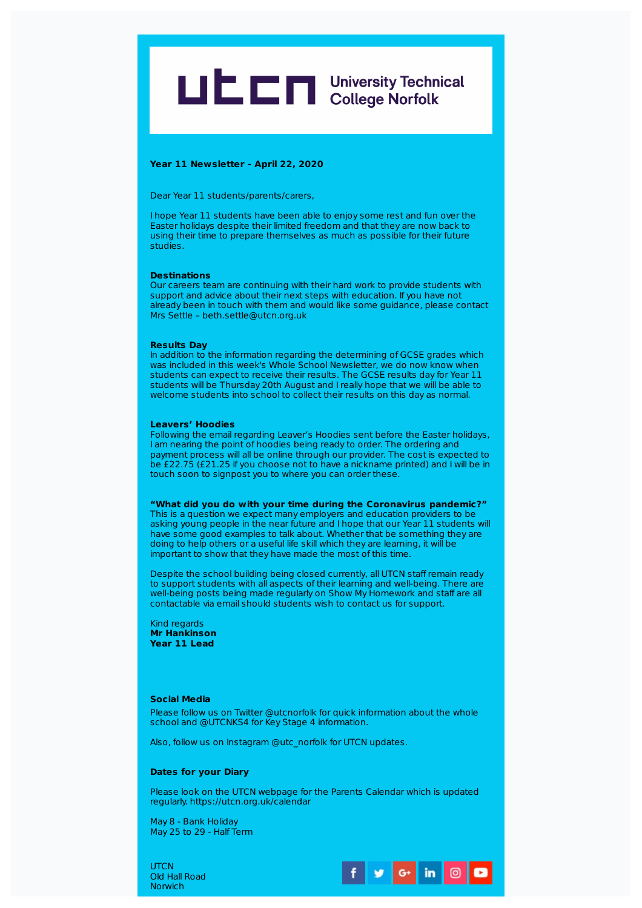

# **Year 11 Newsletter - April 22, 2020**

Dear Year 11 students/parents/carers,

I hope Year 11 students have been able to enjoy some rest and fun over the Easter holidays despite their limited freedom and that they are now back to using their time to prepare themselves as much as possible for their future studies.

# **Destinations**

Our careers team are continuing with their hard work to provide students with support and advice about their next steps with education. If you have not already been in touch with them and would like some guidance, please contact Mrs Settle – beth.settle@utcn.org.uk

### **Results Day**

In addition to the information regarding the determining of GCSE grades which was included in this week's Whole School Newsletter, we do now know when students can expect to receive their results. The GCSE results day for Year 11 students will be Thursday 20th August and I really hope that we will be able to welcome students into school to collect their results on this day as normal.

# **Leavers' Hoodies**

Following the email regarding Leaver's Hoodies sent before the Easter holidays, I am nearing the point of hoodies being ready to order. The ordering and payment process will all be online through our provider. The cost is expected to be £22.75 (£21.25 if you choose not to have a nickname printed) and I will be in touch soon to signpost you to where you can order these.

**"What did you do with your time during the Coronavirus pandemic?"**

This is a question we expect many employers and education providers to be asking young people in the near future and I hope that our Year 11 students will have some good examples to talk about. Whether that be something they are doing to help others or a useful life skill which they are learning, it will be important to show that they have made the most of this time.

Despite the school building being closed currently, all UTCN staff remain ready to support students with all aspects of their learning and well-being. There are well-being posts being made regularly on Show My Homework and staff are all contactable via email should students wish to contact us for support.

Kind regards **Mr Hankinson Year 11 Lead**

# **Social Media**

Please follow us on Twitter @utcnorfolk for quick information about the whole school and @UTCNKS4 for Key Stage 4 information.

Also, follow us on Instagram @utc\_norfolk for UTCN updates.

# **Dates for your Diary**

Please look on the UTCN webpage for the Parents Calendar which is updated regularly. https://utcn.org.uk/calendar

May 8 - Bank Holiday May 25 to 29 - Half Term

**UTCN** Old Hall Road Norwich